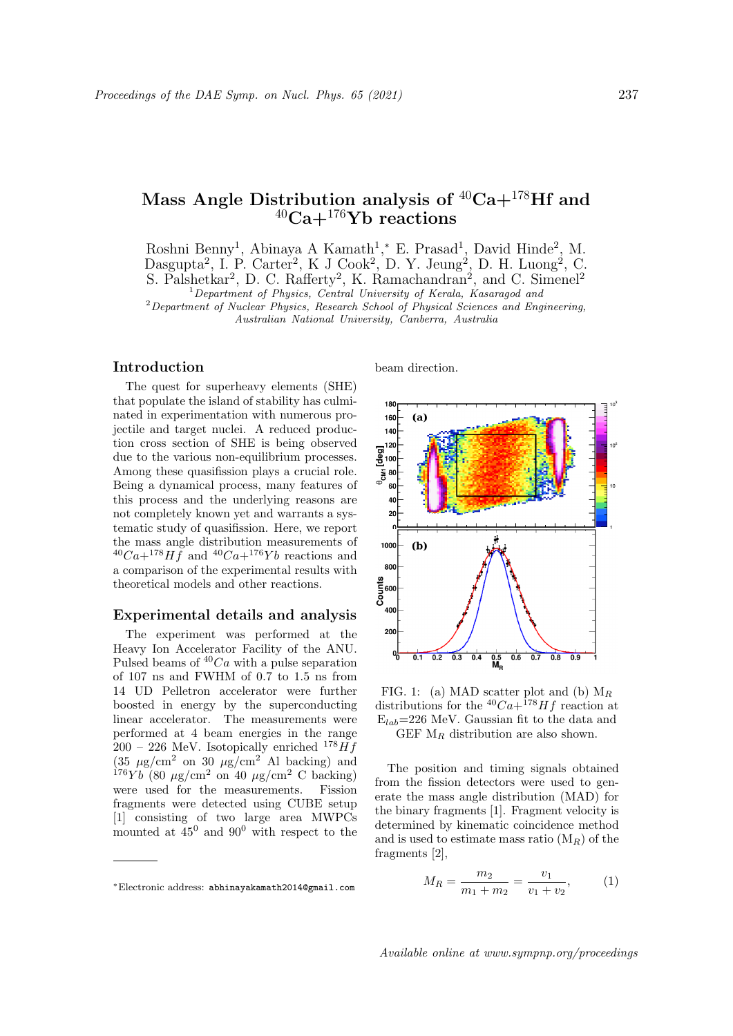# Mass Angle Distribution analysis of  ${}^{40}\mathrm{Ca}+^{178}\mathrm{Hf}$  and  $\rm{^{40}Ca+^{176}Yb}$  reactions

Roshni Benny<sup>1</sup>, Abinaya A Kamath<sup>1</sup>,\* E. Prasad<sup>1</sup>, David Hinde<sup>2</sup>, M. Dasgupta<sup>2</sup>, I. P. Carter<sup>2</sup>, K J Cook<sup>2</sup>, D. Y. Jeung<sup>2</sup>, D. H. Luong<sup>2</sup>, C. S. Palshetkar<sup>2</sup>, D. C. Rafferty<sup>2</sup>, K. Ramachandran<sup>2</sup>, and C. Simenel<sup>2</sup>

<sup>1</sup> Department of Physics, Central University of Kerala, Kasaragod and

<sup>2</sup>Department of Nuclear Physics, Research School of Physical Sciences and Engineering, Australian National University, Canberra, Australia

## Introduction

The quest for superheavy elements (SHE) that populate the island of stability has culminated in experimentation with numerous projectile and target nuclei. A reduced production cross section of SHE is being observed due to the various non-equilibrium processes. Among these quasifission plays a crucial role. Being a dynamical process, many features of this process and the underlying reasons are not completely known yet and warrants a systematic study of quasifission. Here, we report the mass angle distribution measurements of  $^{40}Ca+^{178}H\tilde{f}$  and  $^{40}Ca+^{176}Yb$  reactions and a comparison of the experimental results with theoretical models and other reactions.

## Experimental details and analysis

The experiment was performed at the Heavy Ion Accelerator Facility of the ANU. Pulsed beams of  $40Ca$  with a pulse separation of 107 ns and FWHM of 0.7 to 1.5 ns from 14 UD Pelletron accelerator were further boosted in energy by the superconducting linear accelerator. The measurements were performed at 4 beam energies in the range  $200 - 226$  MeV. Isotopically enriched  $178$  H f  $(35 \mu g/cm^2 \text{ on } 30 \mu g/cm^2 \text{ Al backing})$  and  $176Yb(80 \mu g/cm^2 \text{ on } 40 \mu g/cm^2 \text{ C background}$ were used for the measurements. Fission fragments were detected using CUBE setup [1] consisting of two large area MWPCs mounted at  $45^{\circ}$  and  $90^{\circ}$  with respect to the

beam direction.



FIG. 1: (a) MAD scatter plot and (b)  $M_R$ distributions for the  ${}^{40}Ca+{}^{178}Hf$  reaction at  $E_{lab}$ =226 MeV. Gaussian fit to the data and GEF  $M_R$  distribution are also shown.

The position and timing signals obtained from the fission detectors were used to generate the mass angle distribution (MAD) for the binary fragments [1]. Fragment velocity is determined by kinematic coincidence method and is used to estimate mass ratio  $(M_R)$  of the fragments [2],

$$
M_R = \frac{m_2}{m_1 + m_2} = \frac{v_1}{v_1 + v_2},\tag{1}
$$

<sup>∗</sup>Electronic address: abhinayakamath2014@gmail.com